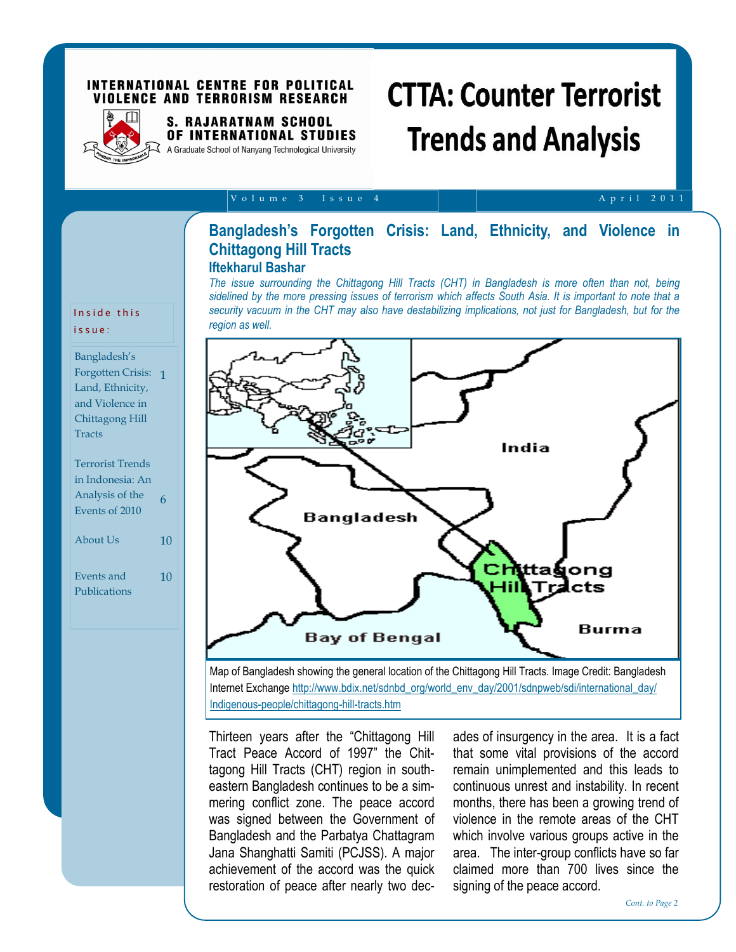#### **INTERNATIONAL CENTRE FOR POLITICAL VIOLENCE AND TERRORISM RESEARCH**



#### **S. RAJARATNAM SCHOOL** OF INTERNATIONAL STUDIES

A Graduate School of Nanyang Technological University

# **CTTA: Counter Terrorist Trends and Analysis**

## A p r i l 2 0 1 1

# **Bangladesh's Forgotten Crisis: Land, Ethnicity, and Violence in Chittagong Hill Tracts Iftekharul Bashar**

*The issue surrounding the Chittagong Hill Tracts (CHT) in Bangladesh is more often than not, being sidelined by the more pressing issues of terrorism which affects South Asia. It is important to note that a security vacuum in the CHT may also have destabilizing implications, not just for Bangladesh, but for the region as well.* 



Map of Bangladesh showing the general location of the Chittagong Hill Tracts. Image Credit: Bangladesh Internet Exchange http://www.bdix.net/sdnbd\_org/world\_env\_day/2001/sdnpweb/sdi/international\_day/ Indigenous-people/chittagong-hill-tracts.htm

Thirteen years after the "Chittagong Hill Tract Peace Accord of 1997" the Chittagong Hill Tracts (CHT) region in southeastern Bangladesh continues to be a simmering conflict zone. The peace accord was signed between the Government of Bangladesh and the Parbatya Chattagram Jana Shanghatti Samiti (PCJSS). A major achievement of the accord was the quick restoration of peace after nearly two decades of insurgency in the area. It is a fact that some vital provisions of the accord remain unimplemented and this leads to continuous unrest and instability. In recent months, there has been a growing trend of violence in the remote areas of the CHT which involve various groups active in the area. The inter-group conflicts have so far claimed more than 700 lives since the signing of the peace accord.

# Inside this i s s u e :

Bangladesh's Forgotten Crisis: 1 Land, Ethnicity, and Violence in Chittagong Hill **Tracts** 

```
Terrorist Trends 
in Indonesia: An 
Analysis of the 
Events of 2010
                   6
```
About Us 10

Events and Publications 10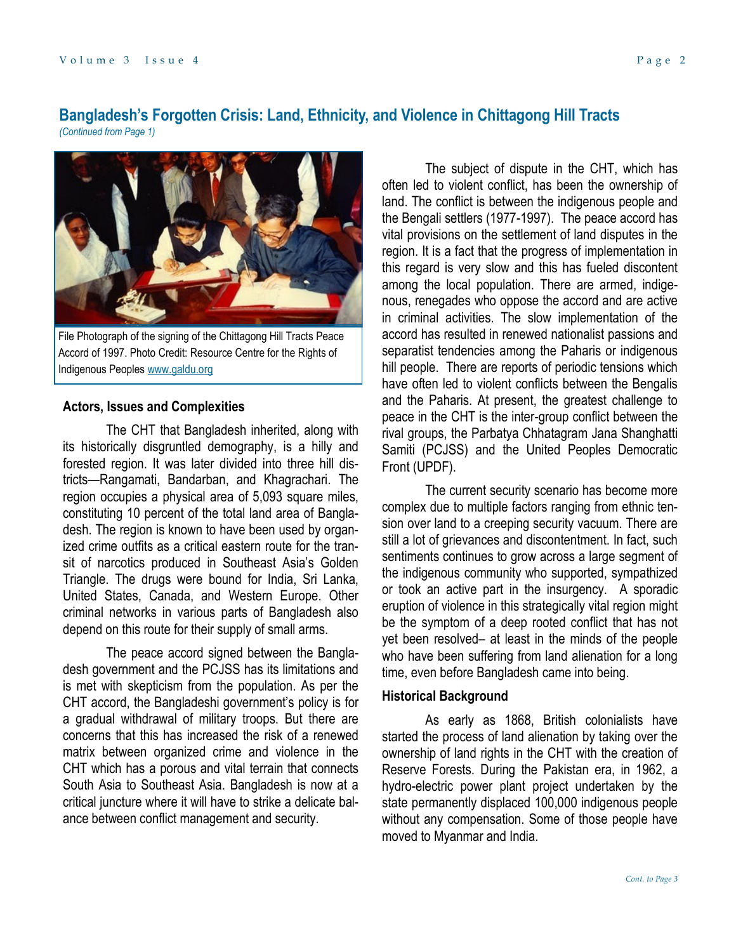# **Bangladesh's Forgotten Crisis: Land, Ethnicity, and Violence in Chittagong Hill Tracts** *(Continued from Page 1)*



File Photograph of the signing of the Chittagong Hill Tracts Peace Accord of 1997. Photo Credit: Resource Centre for the Rights of Indigenous Peoples www.galdu.org

# **Actors, Issues and Complexities**

The CHT that Bangladesh inherited, along with its historically disgruntled demography, is a hilly and forested region. It was later divided into three hill districts—Rangamati, Bandarban, and Khagrachari. The region occupies a physical area of 5,093 square miles, constituting 10 percent of the total land area of Bangladesh. The region is known to have been used by organized crime outfits as a critical eastern route for the transit of narcotics produced in Southeast Asia's Golden Triangle. The drugs were bound for India, Sri Lanka, United States, Canada, and Western Europe. Other criminal networks in various parts of Bangladesh also depend on this route for their supply of small arms.

The peace accord signed between the Bangladesh government and the PCJSS has its limitations and is met with skepticism from the population. As per the CHT accord, the Bangladeshi government's policy is for a gradual withdrawal of military troops. But there are concerns that this has increased the risk of a renewed matrix between organized crime and violence in the CHT which has a porous and vital terrain that connects South Asia to Southeast Asia. Bangladesh is now at a critical juncture where it will have to strike a delicate balance between conflict management and security.

The subject of dispute in the CHT, which has often led to violent conflict, has been the ownership of land. The conflict is between the indigenous people and the Bengali settlers (1977-1997). The peace accord has vital provisions on the settlement of land disputes in the region. It is a fact that the progress of implementation in this regard is very slow and this has fueled discontent among the local population. There are armed, indigenous, renegades who oppose the accord and are active in criminal activities. The slow implementation of the accord has resulted in renewed nationalist passions and separatist tendencies among the Paharis or indigenous hill people. There are reports of periodic tensions which have often led to violent conflicts between the Bengalis and the Paharis. At present, the greatest challenge to peace in the CHT is the inter-group conflict between the rival groups, the Parbatya Chhatagram Jana Shanghatti Samiti (PCJSS) and the United Peoples Democratic Front (UPDF).

The current security scenario has become more complex due to multiple factors ranging from ethnic tension over land to a creeping security vacuum. There are still a lot of grievances and discontentment. In fact, such sentiments continues to grow across a large segment of the indigenous community who supported, sympathized or took an active part in the insurgency. A sporadic eruption of violence in this strategically vital region might be the symptom of a deep rooted conflict that has not yet been resolved– at least in the minds of the people who have been suffering from land alienation for a long time, even before Bangladesh came into being.

## **Historical Background**

As early as 1868, British colonialists have started the process of land alienation by taking over the ownership of land rights in the CHT with the creation of Reserve Forests. During the Pakistan era, in 1962, a hydro-electric power plant project undertaken by the state permanently displaced 100,000 indigenous people without any compensation. Some of those people have moved to Myanmar and India.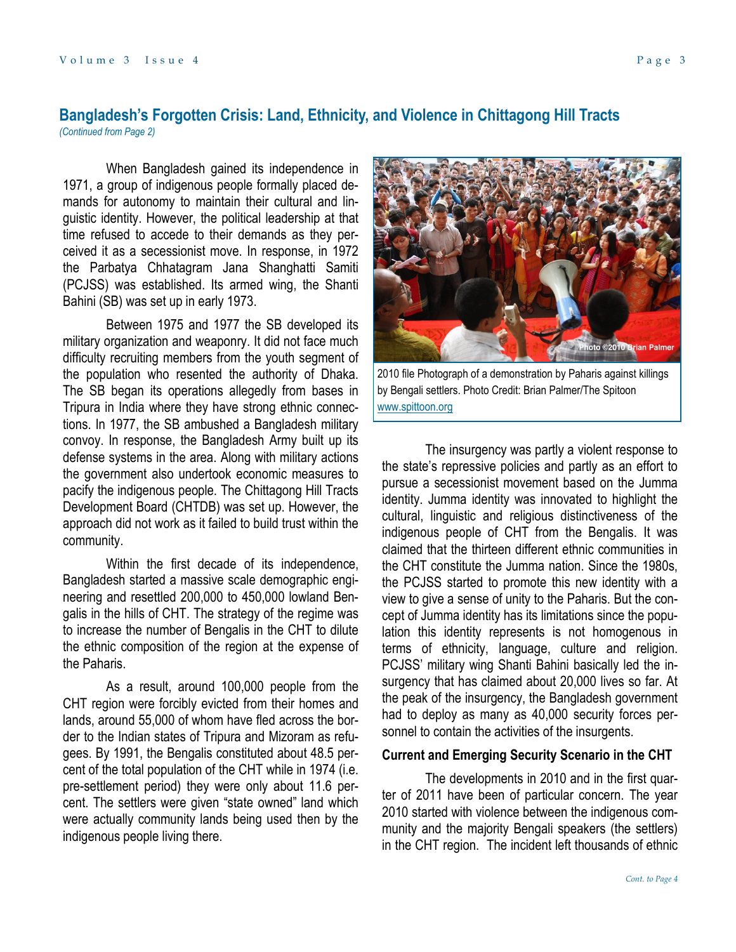# **Bangladesh's Forgotten Crisis: Land, Ethnicity, and Violence in Chittagong Hill Tracts** *(Continued from Page 2)*

When Bangladesh gained its independence in 1971, a group of indigenous people formally placed demands for autonomy to maintain their cultural and linguistic identity. However, the political leadership at that time refused to accede to their demands as they perceived it as a secessionist move. In response, in 1972 the Parbatya Chhatagram Jana Shanghatti Samiti (PCJSS) was established. Its armed wing, the Shanti Bahini (SB) was set up in early 1973.

Between 1975 and 1977 the SB developed its military organization and weaponry. It did not face much difficulty recruiting members from the youth segment of the population who resented the authority of Dhaka. The SB began its operations allegedly from bases in Tripura in India where they have strong ethnic connections. In 1977, the SB ambushed a Bangladesh military convoy. In response, the Bangladesh Army built up its defense systems in the area. Along with military actions the government also undertook economic measures to pacify the indigenous people. The Chittagong Hill Tracts Development Board (CHTDB) was set up. However, the approach did not work as it failed to build trust within the community.

Within the first decade of its independence, Bangladesh started a massive scale demographic engineering and resettled 200,000 to 450,000 lowland Bengalis in the hills of CHT. The strategy of the regime was to increase the number of Bengalis in the CHT to dilute the ethnic composition of the region at the expense of the Paharis.

As a result, around 100,000 people from the CHT region were forcibly evicted from their homes and lands, around 55,000 of whom have fled across the border to the Indian states of Tripura and Mizoram as refugees. By 1991, the Bengalis constituted about 48.5 percent of the total population of the CHT while in 1974 (i.e. pre-settlement period) they were only about 11.6 percent. The settlers were given "state owned" land which were actually community lands being used then by the indigenous people living there.



2010 file Photograph of a demonstration by Paharis against killings by Bengali settlers. Photo Credit: Brian Palmer/The Spitoon www.spittoon.org

The insurgency was partly a violent response to the state's repressive policies and partly as an effort to pursue a secessionist movement based on the Jumma identity. Jumma identity was innovated to highlight the cultural, linguistic and religious distinctiveness of the indigenous people of CHT from the Bengalis. It was claimed that the thirteen different ethnic communities in the CHT constitute the Jumma nation. Since the 1980s, the PCJSS started to promote this new identity with a view to give a sense of unity to the Paharis. But the concept of Jumma identity has its limitations since the population this identity represents is not homogenous in terms of ethnicity, language, culture and religion. PCJSS' military wing Shanti Bahini basically led the insurgency that has claimed about 20,000 lives so far. At the peak of the insurgency, the Bangladesh government had to deploy as many as 40,000 security forces personnel to contain the activities of the insurgents.

# **Current and Emerging Security Scenario in the CHT**

The developments in 2010 and in the first quarter of 2011 have been of particular concern. The year 2010 started with violence between the indigenous community and the majority Bengali speakers (the settlers) in the CHT region. The incident left thousands of ethnic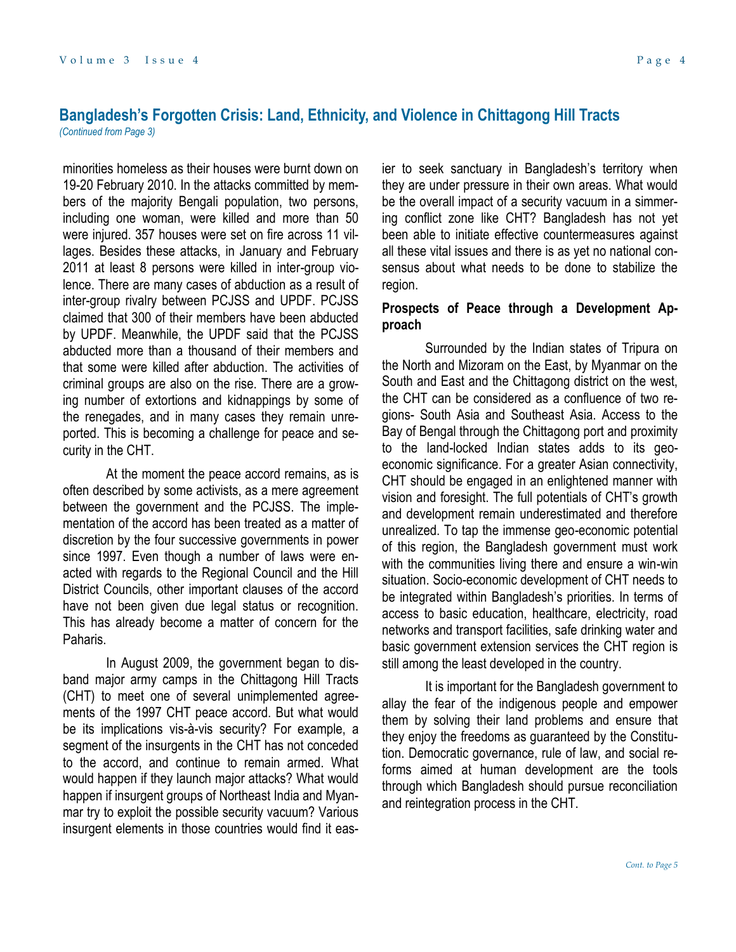# **Bangladesh's Forgotten Crisis: Land, Ethnicity, and Violence in Chittagong Hill Tracts** *(Continued from Page 3)*

minorities homeless as their houses were burnt down on 19-20 February 2010. In the attacks committed by members of the majority Bengali population, two persons, including one woman, were killed and more than 50 were injured. 357 houses were set on fire across 11 villages. Besides these attacks, in January and February 2011 at least 8 persons were killed in inter-group violence. There are many cases of abduction as a result of inter-group rivalry between PCJSS and UPDF. PCJSS claimed that 300 of their members have been abducted by UPDF. Meanwhile, the UPDF said that the PCJSS abducted more than a thousand of their members and that some were killed after abduction. The activities of criminal groups are also on the rise. There are a growing number of extortions and kidnappings by some of the renegades, and in many cases they remain unreported. This is becoming a challenge for peace and security in the CHT.

At the moment the peace accord remains, as is often described by some activists, as a mere agreement between the government and the PCJSS. The implementation of the accord has been treated as a matter of discretion by the four successive governments in power since 1997. Even though a number of laws were enacted with regards to the Regional Council and the Hill District Councils, other important clauses of the accord have not been given due legal status or recognition. This has already become a matter of concern for the Paharis.

In August 2009, the government began to disband major army camps in the Chittagong Hill Tracts (CHT) to meet one of several unimplemented agreements of the 1997 CHT peace accord. But what would be its implications vis-à-vis security? For example, a segment of the insurgents in the CHT has not conceded to the accord, and continue to remain armed. What would happen if they launch major attacks? What would happen if insurgent groups of Northeast India and Myanmar try to exploit the possible security vacuum? Various insurgent elements in those countries would find it easier to seek sanctuary in Bangladesh's territory when they are under pressure in their own areas. What would be the overall impact of a security vacuum in a simmering conflict zone like CHT? Bangladesh has not yet been able to initiate effective countermeasures against all these vital issues and there is as yet no national consensus about what needs to be done to stabilize the region.

# **Prospects of Peace through a Development Approach**

Surrounded by the Indian states of Tripura on the North and Mizoram on the East, by Myanmar on the South and East and the Chittagong district on the west, the CHT can be considered as a confluence of two regions- South Asia and Southeast Asia. Access to the Bay of Bengal through the Chittagong port and proximity to the land-locked Indian states adds to its geoeconomic significance. For a greater Asian connectivity, CHT should be engaged in an enlightened manner with vision and foresight. The full potentials of CHT's growth and development remain underestimated and therefore unrealized. To tap the immense geo-economic potential of this region, the Bangladesh government must work with the communities living there and ensure a win-win situation. Socio-economic development of CHT needs to be integrated within Bangladesh's priorities. In terms of access to basic education, healthcare, electricity, road networks and transport facilities, safe drinking water and basic government extension services the CHT region is still among the least developed in the country.

It is important for the Bangladesh government to allay the fear of the indigenous people and empower them by solving their land problems and ensure that they enjoy the freedoms as guaranteed by the Constitution. Democratic governance, rule of law, and social reforms aimed at human development are the tools through which Bangladesh should pursue reconciliation and reintegration process in the CHT.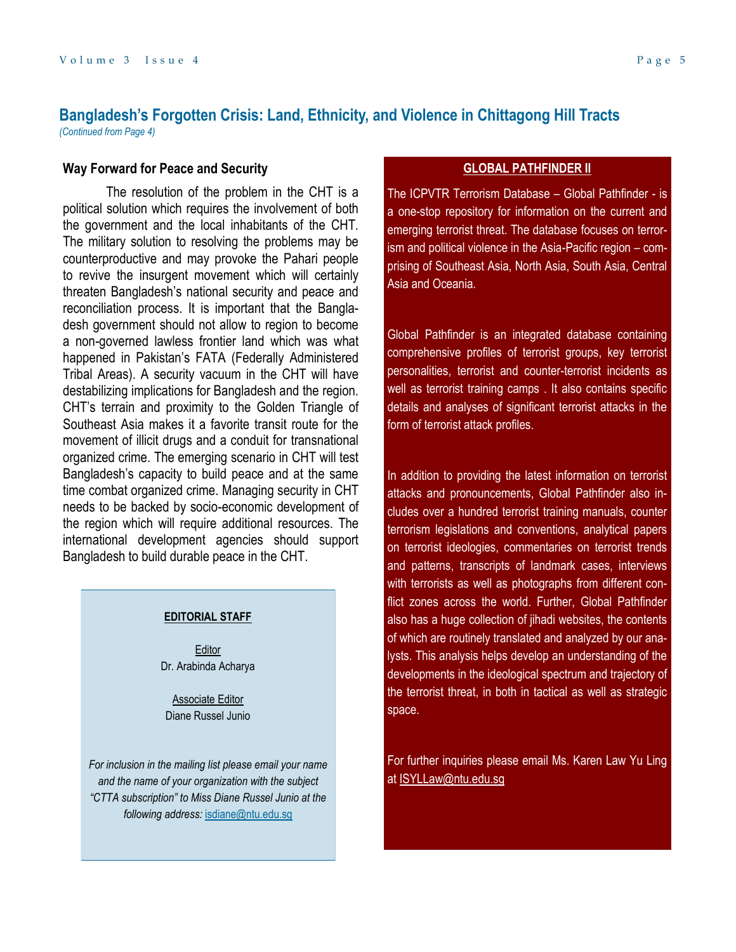# **Bangladesh's Forgotten Crisis: Land, Ethnicity, and Violence in Chittagong Hill Tracts** *(Continued from Page 4)*

# **Way Forward for Peace and Security**

The resolution of the problem in the CHT is a political solution which requires the involvement of both the government and the local inhabitants of the CHT. The military solution to resolving the problems may be counterproductive and may provoke the Pahari people to revive the insurgent movement which will certainly threaten Bangladesh's national security and peace and reconciliation process. It is important that the Bangladesh government should not allow to region to become a non-governed lawless frontier land which was what happened in Pakistan's FATA (Federally Administered Tribal Areas). A security vacuum in the CHT will have destabilizing implications for Bangladesh and the region. CHT's terrain and proximity to the Golden Triangle of Southeast Asia makes it a favorite transit route for the movement of illicit drugs and a conduit for transnational organized crime. The emerging scenario in CHT will test Bangladesh's capacity to build peace and at the same time combat organized crime. Managing security in CHT needs to be backed by socio-economic development of the region which will require additional resources. The international development agencies should support Bangladesh to build durable peace in the CHT.

#### **EDITORIAL STAFF**

**Editor** Dr. Arabinda Acharya

Associate Editor Diane Russel Junio

*For inclusion in the mailing list please email your name and the name of your organization with the subject "CTTA subscription" to Miss Diane Russel Junio at the following address:* isdiane@ntu.edu.sg

#### **GLOBAL PATHFINDER II**

The ICPVTR Terrorism Database – Global Pathfinder - is a one-stop repository for information on the current and emerging terrorist threat. The database focuses on terrorism and political violence in the Asia-Pacific region – comprising of Southeast Asia, North Asia, South Asia, Central Asia and Oceania.

Global Pathfinder is an integrated database containing comprehensive profiles of terrorist groups, key terrorist personalities, terrorist and counter-terrorist incidents as well as terrorist training camps . It also contains specific details and analyses of significant terrorist attacks in the form of terrorist attack profiles.

In addition to providing the latest information on terrorist attacks and pronouncements, Global Pathfinder also includes over a hundred terrorist training manuals, counter terrorism legislations and conventions, analytical papers on terrorist ideologies, commentaries on terrorist trends and patterns, transcripts of landmark cases, interviews with terrorists as well as photographs from different conflict zones across the world. Further, Global Pathfinder also has a huge collection of jihadi websites, the contents of which are routinely translated and analyzed by our analysts. This analysis helps develop an understanding of the developments in the ideological spectrum and trajectory of the terrorist threat, in both in tactical as well as strategic space.

For further inquiries please email Ms. Karen Law Yu Ling at ISYLLaw@ntu.edu.sg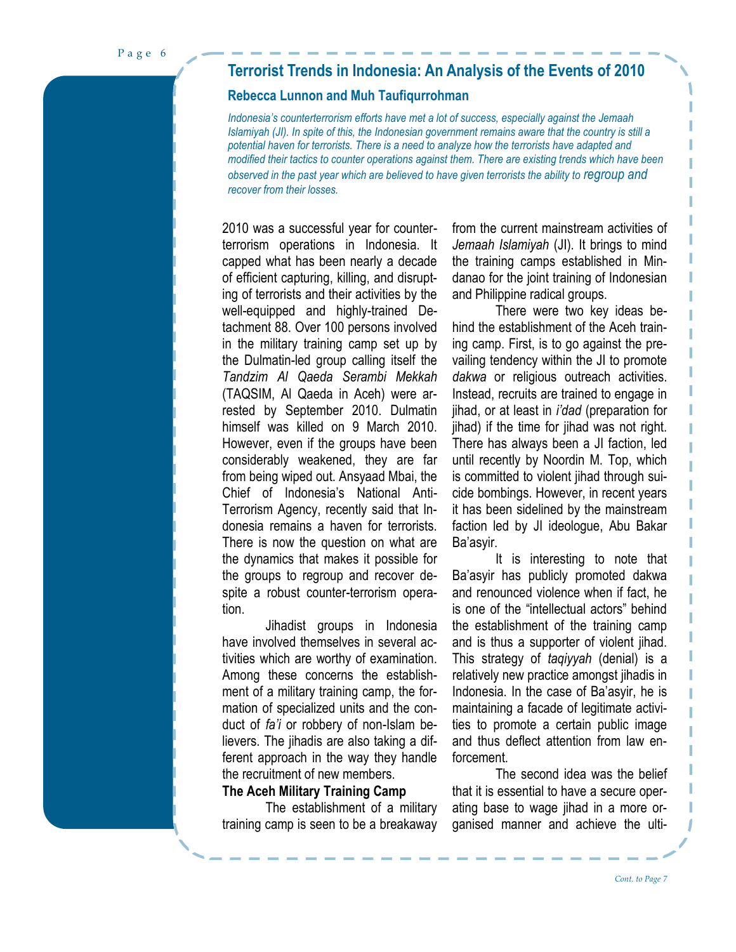#### **Rebecca Lunnon and Muh Taufiqurrohman**

*Indonesia's counterterrorism efforts have met a lot of success, especially against the Jemaah Islamiyah (JI). In spite of this, the Indonesian government remains aware that the country is still a potential haven for terrorists. There is a need to analyze how the terrorists have adapted and modified their tactics to counter operations against them. There are existing trends which have been observed in the past year which are believed to have given terrorists the ability to regroup and recover from their losses.*

2010 was a successful year for counterterrorism operations in Indonesia. It capped what has been nearly a decade of efficient capturing, killing, and disrupting of terrorists and their activities by the well-equipped and highly-trained Detachment 88. Over 100 persons involved in the military training camp set up by the Dulmatin-led group calling itself the *Tandzim Al Qaeda Serambi Mekkah*  (TAQSIM, Al Qaeda in Aceh) were arrested by September 2010. Dulmatin himself was killed on 9 March 2010. However, even if the groups have been considerably weakened, they are far from being wiped out. Ansyaad Mbai, the Chief of Indonesia's National Anti-Terrorism Agency, recently said that Indonesia remains a haven for terrorists. There is now the question on what are the dynamics that makes it possible for the groups to regroup and recover despite a robust counter-terrorism operation.

Jihadist groups in Indonesia have involved themselves in several activities which are worthy of examination. Among these concerns the establishment of a military training camp, the formation of specialized units and the conduct of *fa'i* or robbery of non-Islam believers. The jihadis are also taking a different approach in the way they handle the recruitment of new members.

#### **The Aceh Military Training Camp**

The establishment of a military training camp is seen to be a breakaway from the current mainstream activities of *Jemaah Islamiyah* (JI). It brings to mind the training camps established in Mindanao for the joint training of Indonesian and Philippine radical groups.

There were two key ideas behind the establishment of the Aceh training camp. First, is to go against the prevailing tendency within the JI to promote *dakwa* or religious outreach activities. Instead, recruits are trained to engage in jihad, or at least in *i'dad* (preparation for jihad) if the time for jihad was not right. There has always been a JI faction, led until recently by Noordin M. Top, which is committed to violent jihad through suicide bombings. However, in recent years it has been sidelined by the mainstream faction led by JI ideologue, Abu Bakar Ba'asyir.

It is interesting to note that Ba'asyir has publicly promoted dakwa and renounced violence when if fact, he is one of the "intellectual actors" behind the establishment of the training camp and is thus a supporter of violent jihad. This strategy of *taqiyyah* (denial) is a relatively new practice amongst jihadis in Indonesia. In the case of Ba'asyir, he is maintaining a facade of legitimate activities to promote a certain public image and thus deflect attention from law enforcement.

The second idea was the belief that it is essential to have a secure operating base to wage jihad in a more organised manner and achieve the ulti-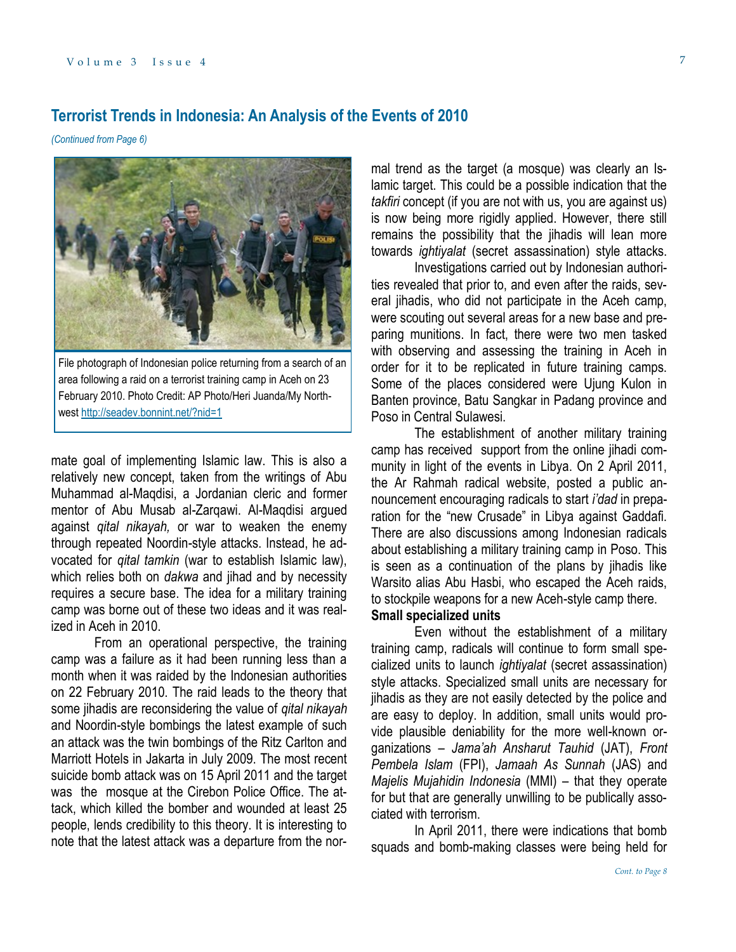#### *(Continued from Page 6)*



File photograph of Indonesian police returning from a search of an area following a raid on a terrorist training camp in Aceh on 23 February 2010. Photo Credit: AP Photo/Heri Juanda/My Northwest http://seadev.bonnint.net/?nid=1

mate goal of implementing Islamic law. This is also a relatively new concept, taken from the writings of Abu Muhammad al-Maqdisi, a Jordanian cleric and former mentor of Abu Musab al-Zarqawi. Al-Maqdisi argued against *qital nikayah,* or war to weaken the enemy through repeated Noordin-style attacks. Instead, he advocated for *qital tamkin* (war to establish Islamic law), which relies both on *dakwa* and jihad and by necessity requires a secure base. The idea for a military training camp was borne out of these two ideas and it was realized in Aceh in 2010.

From an operational perspective, the training camp was a failure as it had been running less than a month when it was raided by the Indonesian authorities on 22 February 2010. The raid leads to the theory that some jihadis are reconsidering the value of *qital nikayah*  and Noordin-style bombings the latest example of such an attack was the twin bombings of the Ritz Carlton and Marriott Hotels in Jakarta in July 2009. The most recent suicide bomb attack was on 15 April 2011 and the target was the mosque at the Cirebon Police Office. The attack, which killed the bomber and wounded at least 25 people, lends credibility to this theory. It is interesting to note that the latest attack was a departure from the nor-

mal trend as the target (a mosque) was clearly an Islamic target. This could be a possible indication that the *takfiri* concept (if you are not with us, you are against us) is now being more rigidly applied. However, there still remains the possibility that the jihadis will lean more towards *ightiyalat* (secret assassination) style attacks.

Investigations carried out by Indonesian authorities revealed that prior to, and even after the raids, several jihadis, who did not participate in the Aceh camp, were scouting out several areas for a new base and preparing munitions. In fact, there were two men tasked with observing and assessing the training in Aceh in order for it to be replicated in future training camps. Some of the places considered were Ujung Kulon in Banten province, Batu Sangkar in Padang province and Poso in Central Sulawesi.

The establishment of another military training camp has received support from the online jihadi community in light of the events in Libya. On 2 April 2011, the Ar Rahmah radical website, posted a public announcement encouraging radicals to start *i'dad* in preparation for the "new Crusade" in Libya against Gaddafi. There are also discussions among Indonesian radicals about establishing a military training camp in Poso. This is seen as a continuation of the plans by jihadis like Warsito alias Abu Hasbi, who escaped the Aceh raids, to stockpile weapons for a new Aceh-style camp there.

# **Small specialized units**

Even without the establishment of a military training camp, radicals will continue to form small specialized units to launch *ightiyalat* (secret assassination) style attacks. Specialized small units are necessary for iihadis as they are not easily detected by the police and are easy to deploy. In addition, small units would provide plausible deniability for the more well-known organizations – *Jama'ah Ansharut Tauhid* (JAT), *Front Pembela Islam* (FPI), *Jamaah As Sunnah* (JAS) and *Majelis Mujahidin Indonesia* (MMI) – that they operate for but that are generally unwilling to be publically associated with terrorism.

In April 2011, there were indications that bomb squads and bomb-making classes were being held for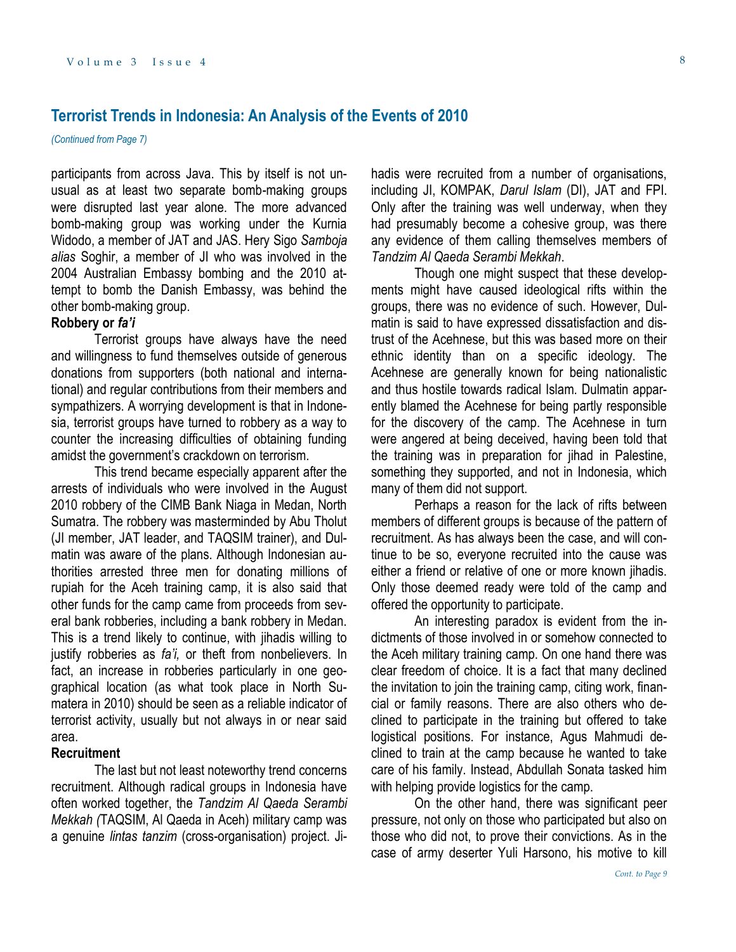#### *(Continued from Page 7)*

participants from across Java. This by itself is not unusual as at least two separate bomb-making groups were disrupted last year alone. The more advanced bomb-making group was working under the Kurnia Widodo, a member of JAT and JAS. Hery Sigo *Samboja alias* Soghir, a member of JI who was involved in the 2004 Australian Embassy bombing and the 2010 attempt to bomb the Danish Embassy, was behind the other bomb-making group.

# **Robbery or** *fa'i*

Terrorist groups have always have the need and willingness to fund themselves outside of generous donations from supporters (both national and international) and regular contributions from their members and sympathizers. A worrying development is that in Indonesia, terrorist groups have turned to robbery as a way to counter the increasing difficulties of obtaining funding amidst the government's crackdown on terrorism.

This trend became especially apparent after the arrests of individuals who were involved in the August 2010 robbery of the CIMB Bank Niaga in Medan, North Sumatra. The robbery was masterminded by Abu Tholut (JI member, JAT leader, and TAQSIM trainer), and Dulmatin was aware of the plans. Although Indonesian authorities arrested three men for donating millions of rupiah for the Aceh training camp, it is also said that other funds for the camp came from proceeds from several bank robberies, including a bank robbery in Medan. This is a trend likely to continue, with jihadis willing to justify robberies as *fa'i,* or theft from nonbelievers. In fact, an increase in robberies particularly in one geographical location (as what took place in North Sumatera in 2010) should be seen as a reliable indicator of terrorist activity, usually but not always in or near said area.

# **Recruitment**

The last but not least noteworthy trend concerns recruitment. Although radical groups in Indonesia have often worked together, the *Tandzim Al Qaeda Serambi Mekkah (*TAQSIM, Al Qaeda in Aceh) military camp was a genuine *lintas tanzim* (cross-organisation) project. Ji-

hadis were recruited from a number of organisations, including JI, KOMPAK, *Darul Islam* (DI), JAT and FPI. Only after the training was well underway, when they had presumably become a cohesive group, was there any evidence of them calling themselves members of *Tandzim Al Qaeda Serambi Mekkah*.

Though one might suspect that these developments might have caused ideological rifts within the groups, there was no evidence of such. However, Dulmatin is said to have expressed dissatisfaction and distrust of the Acehnese, but this was based more on their ethnic identity than on a specific ideology. The Acehnese are generally known for being nationalistic and thus hostile towards radical Islam. Dulmatin apparently blamed the Acehnese for being partly responsible for the discovery of the camp. The Acehnese in turn were angered at being deceived, having been told that the training was in preparation for jihad in Palestine, something they supported, and not in Indonesia, which many of them did not support.

Perhaps a reason for the lack of rifts between members of different groups is because of the pattern of recruitment. As has always been the case, and will continue to be so, everyone recruited into the cause was either a friend or relative of one or more known jihadis. Only those deemed ready were told of the camp and offered the opportunity to participate.

An interesting paradox is evident from the indictments of those involved in or somehow connected to the Aceh military training camp. On one hand there was clear freedom of choice. It is a fact that many declined the invitation to join the training camp, citing work, financial or family reasons. There are also others who declined to participate in the training but offered to take logistical positions. For instance, Agus Mahmudi declined to train at the camp because he wanted to take care of his family. Instead, Abdullah Sonata tasked him with helping provide logistics for the camp.

On the other hand, there was significant peer pressure, not only on those who participated but also on those who did not, to prove their convictions. As in the case of army deserter Yuli Harsono, his motive to kill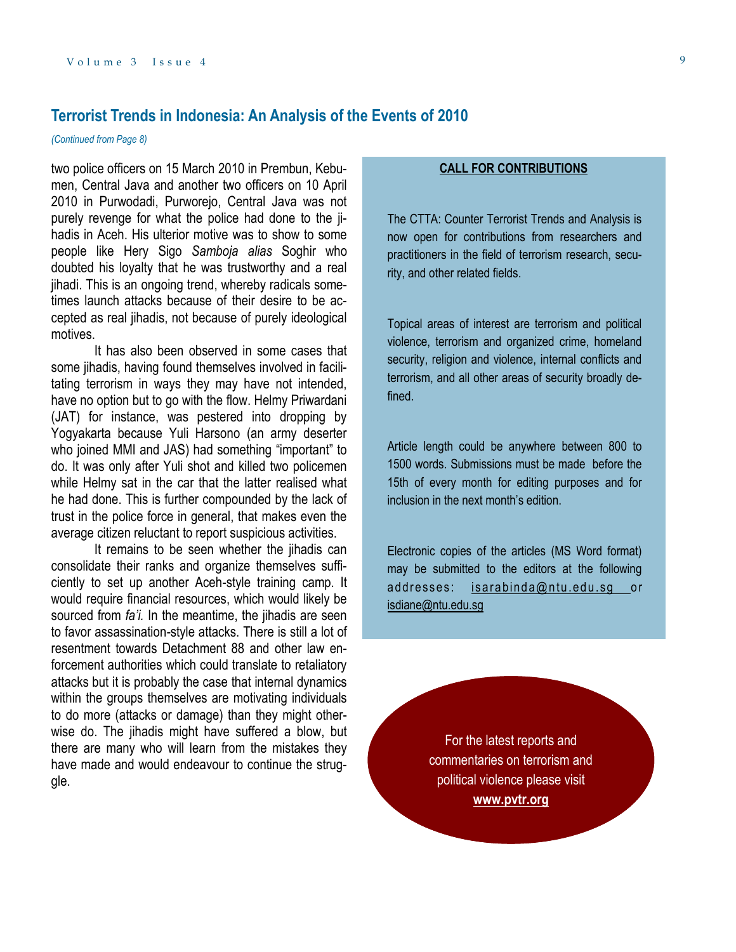#### *(Continued from Page 8)*

two police officers on 15 March 2010 in Prembun, Kebumen, Central Java and another two officers on 10 April 2010 in Purwodadi, Purworejo, Central Java was not purely revenge for what the police had done to the jihadis in Aceh. His ulterior motive was to show to some people like Hery Sigo *Samboja alias* Soghir who doubted his loyalty that he was trustworthy and a real jihadi. This is an ongoing trend, whereby radicals sometimes launch attacks because of their desire to be accepted as real jihadis, not because of purely ideological motives.

It has also been observed in some cases that some jihadis, having found themselves involved in facilitating terrorism in ways they may have not intended, have no option but to go with the flow. Helmy Priwardani (JAT) for instance, was pestered into dropping by Yogyakarta because Yuli Harsono (an army deserter who joined MMI and JAS) had something "important" to do. It was only after Yuli shot and killed two policemen while Helmy sat in the car that the latter realised what he had done. This is further compounded by the lack of trust in the police force in general, that makes even the average citizen reluctant to report suspicious activities.

It remains to be seen whether the jihadis can consolidate their ranks and organize themselves sufficiently to set up another Aceh-style training camp. It would require financial resources, which would likely be sourced from *fa'i.* In the meantime, the jihadis are seen to favor assassination-style attacks. There is still a lot of resentment towards Detachment 88 and other law enforcement authorities which could translate to retaliatory attacks but it is probably the case that internal dynamics within the groups themselves are motivating individuals to do more (attacks or damage) than they might otherwise do. The jihadis might have suffered a blow, but there are many who will learn from the mistakes they have made and would endeavour to continue the struggle.

# **CALL FOR CONTRIBUTIONS**

The CTTA: Counter Terrorist Trends and Analysis is now open for contributions from researchers and practitioners in the field of terrorism research, security, and other related fields.

Topical areas of interest are terrorism and political violence, terrorism and organized crime, homeland security, religion and violence, internal conflicts and terrorism, and all other areas of security broadly defined.

Article length could be anywhere between 800 to 1500 words. Submissions must be made before the 15th of every month for editing purposes and for inclusion in the next month's edition.

Electronic copies of the articles (MS Word format) may be submitted to the editors at the following addresses: isarabinda@ntu.edu.sg or isdiane@ntu.edu.sg

> For the latest reports and commentaries on terrorism and political violence please visit **www.pvtr.org**